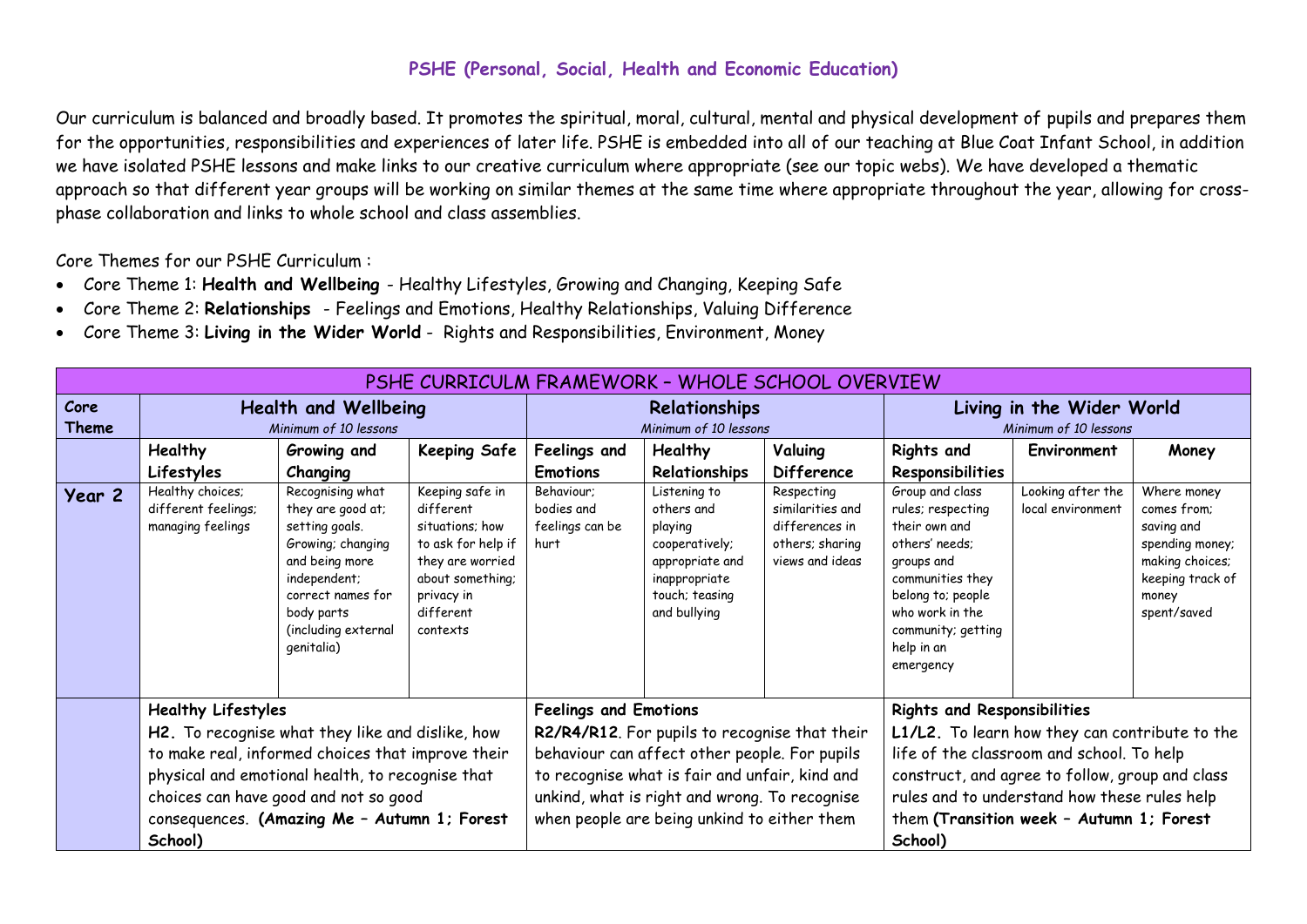## **PSHE (Personal, Social, Health and Economic Education)**

Our curriculum is balanced and broadly based. It promotes the spiritual, moral, cultural, mental and physical development of pupils and prepares them for the opportunities, responsibilities and experiences of later life. PSHE is embedded into all of our teaching at Blue Coat Infant School, in addition we have isolated PSHE lessons and make links to our creative curriculum where appropriate (see our topic webs). We have developed a thematic approach so that different year groups will be working on similar themes at the same time where appropriate throughout the year, allowing for crossphase collaboration and links to whole school and class assemblies.

Core Themes for our PSHE Curriculum :

- Core Theme 1: **Health and Wellbeing**  Healthy Lifestyles, Growing and Changing, Keeping Safe
- Core Theme 2: **Relationships**  Feelings and Emotions, Healthy Relationships, Valuing Difference
- Core Theme 3: **Living in the Wider World** Rights and Responsibilities, Environment, Money

| PSHE CURRICULM FRAMEWORK - WHOLE SCHOOL OVERVIEW |                                                                                                                                                                                                                                                                                            |                                                                                                                                                                                        |                                                                                                                                                      |                                                                                                                                                                                                                                                                                  |                                                                                                                               |                                                                                        |                                                                                                                                                                                                                                                                                             |                                        |                                                                                                                            |
|--------------------------------------------------|--------------------------------------------------------------------------------------------------------------------------------------------------------------------------------------------------------------------------------------------------------------------------------------------|----------------------------------------------------------------------------------------------------------------------------------------------------------------------------------------|------------------------------------------------------------------------------------------------------------------------------------------------------|----------------------------------------------------------------------------------------------------------------------------------------------------------------------------------------------------------------------------------------------------------------------------------|-------------------------------------------------------------------------------------------------------------------------------|----------------------------------------------------------------------------------------|---------------------------------------------------------------------------------------------------------------------------------------------------------------------------------------------------------------------------------------------------------------------------------------------|----------------------------------------|----------------------------------------------------------------------------------------------------------------------------|
| Core                                             | <b>Health and Wellbeing</b>                                                                                                                                                                                                                                                                |                                                                                                                                                                                        |                                                                                                                                                      | Relationships                                                                                                                                                                                                                                                                    |                                                                                                                               |                                                                                        | Living in the Wider World                                                                                                                                                                                                                                                                   |                                        |                                                                                                                            |
| Theme                                            | Minimum of 10 lessons                                                                                                                                                                                                                                                                      |                                                                                                                                                                                        |                                                                                                                                                      | Minimum of 10 lessons                                                                                                                                                                                                                                                            |                                                                                                                               |                                                                                        | Minimum of 10 lessons                                                                                                                                                                                                                                                                       |                                        |                                                                                                                            |
|                                                  | Healthy                                                                                                                                                                                                                                                                                    | Growing and                                                                                                                                                                            | <b>Keeping Safe</b>                                                                                                                                  | Feelings and                                                                                                                                                                                                                                                                     | <b>Healthy</b>                                                                                                                | Valuing                                                                                | <b>Rights and</b>                                                                                                                                                                                                                                                                           | Environment                            | Money                                                                                                                      |
|                                                  | Lifestyles                                                                                                                                                                                                                                                                                 | Changing                                                                                                                                                                               |                                                                                                                                                      | <b>Emotions</b>                                                                                                                                                                                                                                                                  | Relationships                                                                                                                 | <b>Difference</b>                                                                      | Responsibilities                                                                                                                                                                                                                                                                            |                                        |                                                                                                                            |
| Year 2                                           | Healthy choices;<br>different feelings;<br>managing feelings                                                                                                                                                                                                                               | Recognising what<br>they are good at;<br>setting goals.<br>Growing; changing<br>and being more<br>independent;<br>correct names for<br>body parts<br>(including external<br>genitalia) | Keeping safe in<br>different<br>situations: how<br>to ask for help if<br>they are worried<br>about something;<br>privacy in<br>different<br>contexts | Behaviour:<br>bodies and<br>feelings can be<br>hurt                                                                                                                                                                                                                              | Listening to<br>others and<br>playing<br>cooperatively;<br>appropriate and<br>inappropriate<br>touch; teasing<br>and bullying | Respecting<br>similarities and<br>differences in<br>others; sharing<br>views and ideas | Group and class<br>rules; respecting<br>their own and<br>others' needs:<br>groups and<br>communities they<br>belong to; people<br>who work in the<br>community; getting<br>help in an<br>emergency                                                                                          | Looking after the<br>local environment | Where money<br>comes from:<br>saving and<br>spending money;<br>making choices;<br>keeping track of<br>money<br>spent/saved |
|                                                  | <b>Healthy Lifestyles</b><br>H2. To recognise what they like and dislike, how<br>to make real, informed choices that improve their<br>physical and emotional health, to recognise that<br>choices can have good and not so good<br>consequences. (Amazing Me - Autumn 1; Forest<br>School) |                                                                                                                                                                                        |                                                                                                                                                      | <b>Feelings and Emotions</b><br>R2/R4/R12. For pupils to recognise that their<br>behaviour can affect other people. For pupils<br>to recognise what is fair and unfair, kind and<br>unkind, what is right and wrong. To recognise<br>when people are being unkind to either them |                                                                                                                               |                                                                                        | <b>Rights and Responsibilities</b><br>L1/L2. To learn how they can contribute to the<br>life of the classroom and school. To help<br>construct, and agree to follow, group and class<br>rules and to understand how these rules help<br>them (Transition week - Autumn 1; Forest<br>School) |                                        |                                                                                                                            |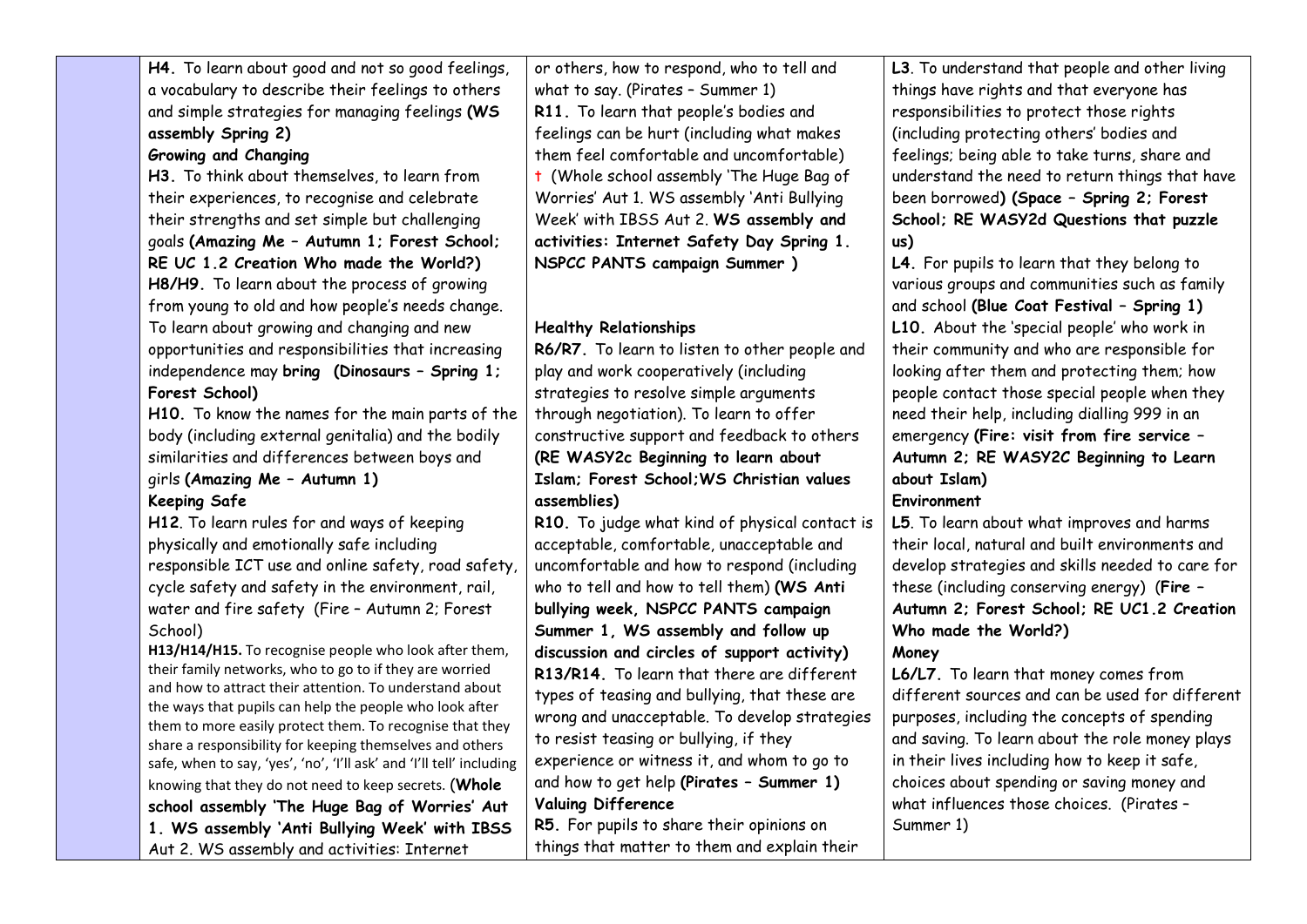| H4. To learn about good and not so good feelings,                                                                    | or others, how to respond, who to tell and     | L3. To understand that people and other living   |
|----------------------------------------------------------------------------------------------------------------------|------------------------------------------------|--------------------------------------------------|
| a vocabulary to describe their feelings to others                                                                    | what to say. (Pirates - Summer 1)              | things have rights and that everyone has         |
| and simple strategies for managing feelings (WS                                                                      | R11. To learn that people's bodies and         | responsibilities to protect those rights         |
| assembly Spring 2)                                                                                                   | feelings can be hurt (including what makes     | (including protecting others' bodies and         |
| Growing and Changing                                                                                                 | them feel comfortable and uncomfortable)       | feelings; being able to take turns, share and    |
| H3. To think about themselves, to learn from                                                                         | t (Whole school assembly 'The Huge Bag of      | understand the need to return things that have   |
| their experiences, to recognise and celebrate                                                                        | Worries' Aut 1. WS assembly 'Anti Bullying     | been borrowed) (Space - Spring 2; Forest         |
| their strengths and set simple but challenging                                                                       | Week' with IBSS Aut 2. WS assembly and         | School; RE WASY2d Questions that puzzle          |
| goals (Amazing Me - Autumn 1; Forest School;                                                                         | activities: Internet Safety Day Spring 1.      | us)                                              |
| RE UC 1.2 Creation Who made the World?)                                                                              | NSPCC PANTS campaign Summer )                  | L4. For pupils to learn that they belong to      |
| H8/H9. To learn about the process of growing                                                                         |                                                | various groups and communities such as family    |
| from young to old and how people's needs change.                                                                     |                                                | and school (Blue Coat Festival - Spring 1)       |
| To learn about growing and changing and new                                                                          | <b>Healthy Relationships</b>                   | L10. About the 'special people' who work in      |
| opportunities and responsibilities that increasing                                                                   | R6/R7. To learn to listen to other people and  | their community and who are responsible for      |
| independence may bring (Dinosaurs - Spring 1;                                                                        | play and work cooperatively (including         | looking after them and protecting them; how      |
| Forest School)                                                                                                       | strategies to resolve simple arguments         | people contact those special people when they    |
| H10. To know the names for the main parts of the                                                                     | through negotiation). To learn to offer        | need their help, including dialling 999 in an    |
| body (including external genitalia) and the bodily                                                                   | constructive support and feedback to others    | emergency (Fire: visit from fire service -       |
| similarities and differences between boys and                                                                        | (RE WASY2c Beginning to learn about            | Autumn 2; RE WASY2C Beginning to Learn           |
| girls (Amazing Me - Autumn 1)                                                                                        | Islam; Forest School; WS Christian values      | about Islam)                                     |
| <b>Keeping Safe</b>                                                                                                  | assemblies)                                    | Environment                                      |
| H12. To learn rules for and ways of keeping                                                                          | R10. To judge what kind of physical contact is | L5. To learn about what improves and harms       |
| physically and emotionally safe including                                                                            | acceptable, comfortable, unacceptable and      | their local, natural and built environments and  |
| responsible ICT use and online safety, road safety,                                                                  | uncomfortable and how to respond (including    | develop strategies and skills needed to care for |
| cycle safety and safety in the environment, rail,                                                                    | who to tell and how to tell them) (WS Anti     | these (including conserving energy) (Fire -      |
| water and fire safety (Fire - Autumn 2; Forest                                                                       | bullying week, NSPCC PANTS campaign            | Autumn 2; Forest School; RE UC1.2 Creation       |
| School)                                                                                                              | Summer 1, WS assembly and follow up            | Who made the World?)                             |
| H13/H14/H15. To recognise people who look after them,                                                                | discussion and circles of support activity)    | Money                                            |
| their family networks, who to go to if they are worried                                                              | R13/R14. To learn that there are different     | L6/L7. To learn that money comes from            |
| and how to attract their attention. To understand about                                                              | types of teasing and bullying, that these are  | different sources and can be used for different  |
| the ways that pupils can help the people who look after                                                              | wrong and unacceptable. To develop strategies  | purposes, including the concepts of spending     |
| them to more easily protect them. To recognise that they<br>share a responsibility for keeping themselves and others | to resist teasing or bullying, if they         | and saving. To learn about the role money plays  |
| safe, when to say, 'yes', 'no', 'I'll ask' and 'I'll tell' including                                                 | experience or witness it, and whom to go to    | in their lives including how to keep it safe,    |
| knowing that they do not need to keep secrets. (Whole                                                                | and how to get help (Pirates - Summer 1)       | choices about spending or saving money and       |
| school assembly 'The Huge Bag of Worries' Aut                                                                        | <b>Valuing Difference</b>                      | what influences those choices. (Pirates -        |
| 1. WS assembly 'Anti Bullying Week' with IBSS                                                                        | R5. For pupils to share their opinions on      | Summer 1)                                        |
| Aut 2. WS assembly and activities: Internet                                                                          | things that matter to them and explain their   |                                                  |
|                                                                                                                      |                                                |                                                  |